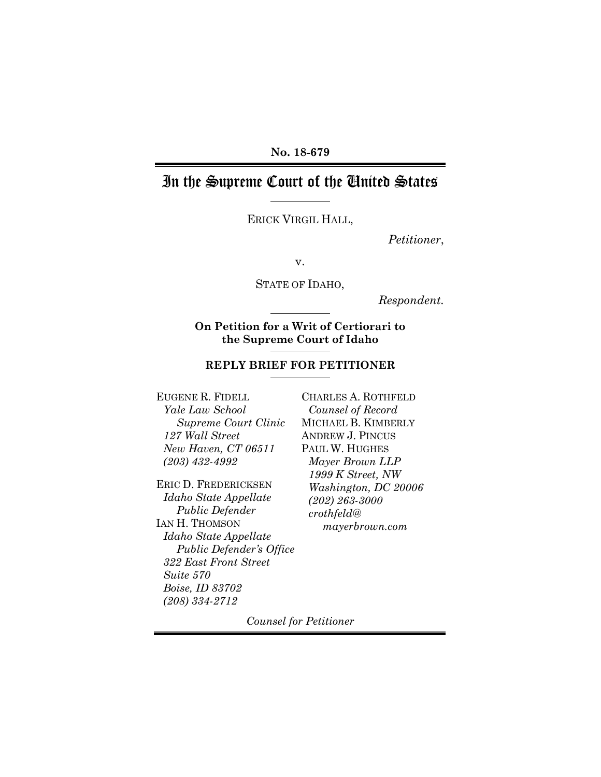### **No. 18-679**

# In the Supreme Court of the United States

ERICK VIRGIL HALL,

*Petitioner*,

v.

STATE OF IDAHO,

*Respondent.*

**On Petition for a Writ of Certiorari to the Supreme Court of Idaho** 

### **REPLY BRIEF FOR PETITIONER**

EUGENE R. FIDELL *Yale Law School Supreme Court Clinic 127 Wall Street New Haven, CT 06511 (203) 432-4992* 

ERIC D. FREDERICKSEN *Idaho State Appellate Public Defender* IAN H. THOMSON *Idaho State Appellate Public Defender's Office 322 East Front Street Suite 570 Boise, ID 83702 (208) 334-2712*

CHARLES A. ROTHFELD *Counsel of Record*  MICHAEL B. KIMBERLY ANDREW J. PINCUS PAUL W. HUGHES *Mayer Brown LLP 1999 K Street, NW Washington, DC 20006 (202) 263-3000 crothfeld@ mayerbrown.com* 

*Counsel for Petitioner*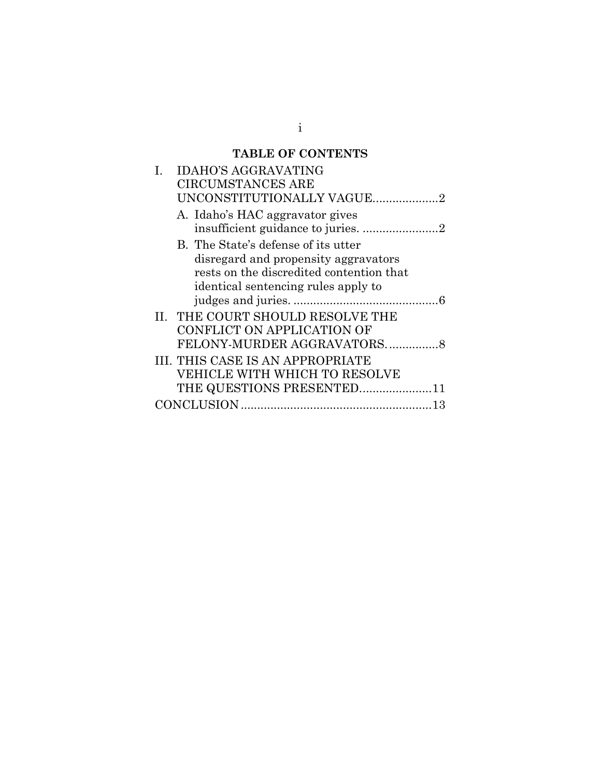# **TABLE OF CONTENTS**

| <b>IDAHO'S AGGRAVATING</b>               |
|------------------------------------------|
| <b>CIRCUMSTANCES ARE</b>                 |
| UNCONSTITUTIONALLY VAGUE2                |
| A. Idaho's HAC aggravator gives          |
|                                          |
| B. The State's defense of its utter      |
| disregard and propensity aggravators     |
| rests on the discredited contention that |
| identical sentencing rules apply to      |
|                                          |
| <b>II. THE COURT SHOULD RESOLVE THE</b>  |
| CONFLICT ON APPLICATION OF               |
|                                          |
| III. THIS CASE IS AN APPROPRIATE         |
| VEHICLE WITH WHICH TO RESOLVE            |
| THE QUESTIONS PRESENTED11                |
|                                          |

i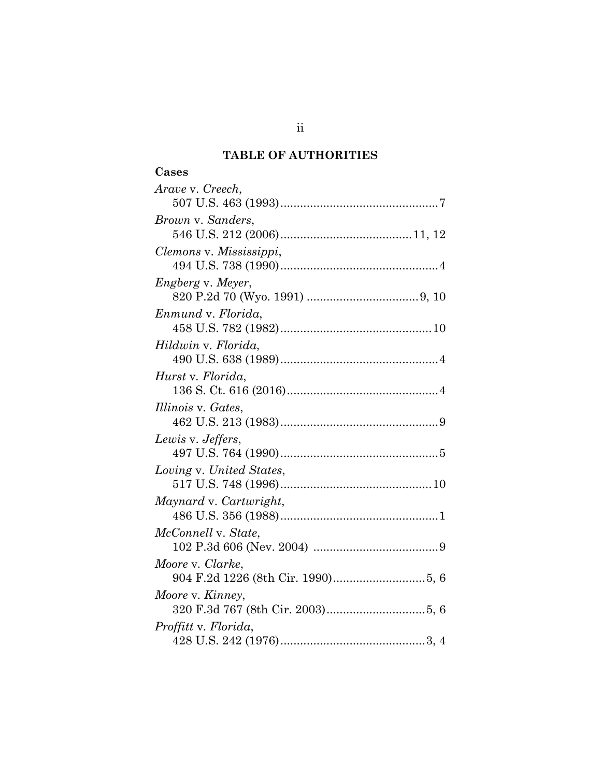# **TABLE OF AUTHORITIES**

| ÷<br>г. |
|---------|
|---------|

| Arave v. Creech,          |  |  |
|---------------------------|--|--|
|                           |  |  |
| Brown v. Sanders,         |  |  |
|                           |  |  |
| Clemons v. Mississippi,   |  |  |
|                           |  |  |
| <i>Engberg v. Meyer,</i>  |  |  |
|                           |  |  |
| Enmund v. Florida,        |  |  |
|                           |  |  |
| Hildwin v. Florida,       |  |  |
|                           |  |  |
| Hurst v. Florida,         |  |  |
|                           |  |  |
| <i>Illinois v. Gates,</i> |  |  |
|                           |  |  |
| Lewis v. Jeffers,         |  |  |
|                           |  |  |
| Loving v. United States,  |  |  |
|                           |  |  |
| Maynard v. Cartwright,    |  |  |
|                           |  |  |
| McConnell v. State,       |  |  |
|                           |  |  |
| Moore v. Clarke,          |  |  |
|                           |  |  |
| Moore v. Kinney,          |  |  |
|                           |  |  |
| Proffitt v. Florida,      |  |  |
|                           |  |  |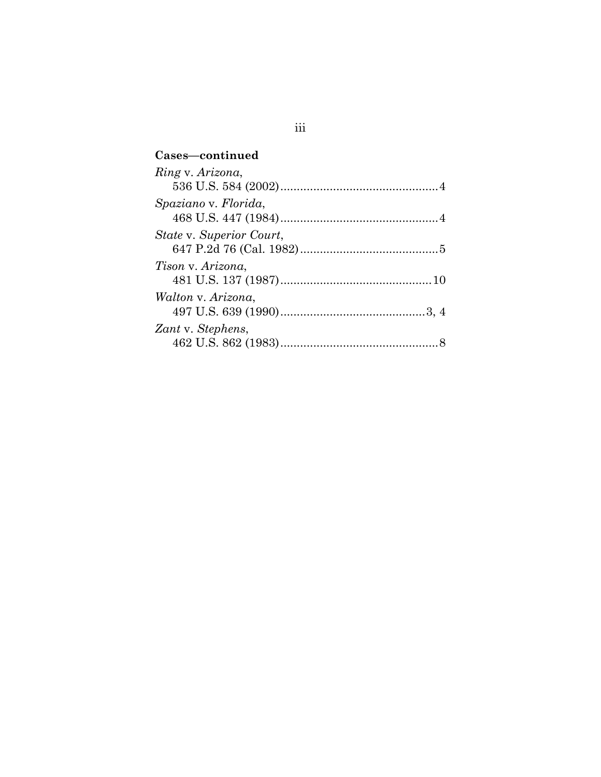# **Cases—continued**  *Ring* v. *Arizona*, 536 U.S. 584 (2002) ................................................ 4 *Spaziano* v*. Florida*, 468 U.S. 447 (1984) ................................................ 4 *State* v. *Superior Court*, 647 P.2d 76 (Cal. 1982) .......................................... 5 *Tison* v. *Arizona*, 481 U.S. 137 (1987) .............................................. 10 *Walton* v. *Arizona*, 497 U.S. 639 (1990) ............................................ 3, 4 *Zant* v. *Stephens*, 462 U.S. 862 (1983) ................................................ 8

## iii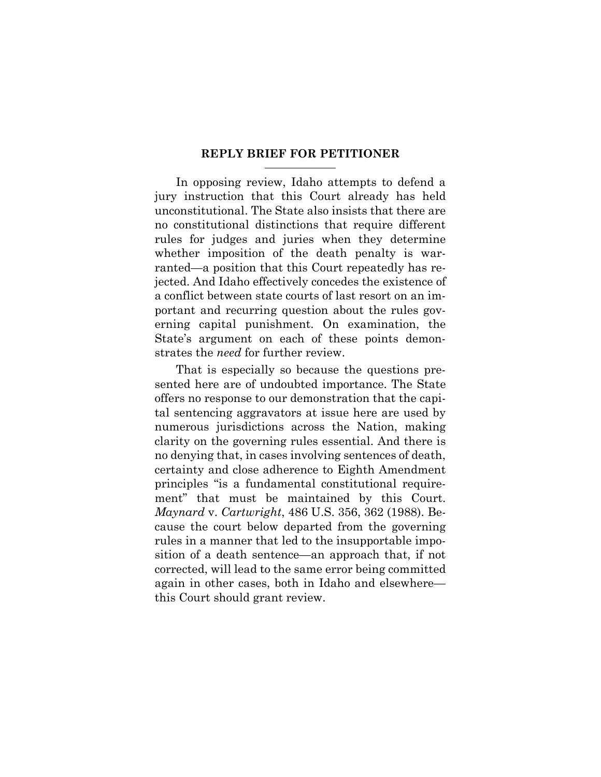#### **REPLY BRIEF FOR PETITIONER**

In opposing review, Idaho attempts to defend a jury instruction that this Court already has held unconstitutional. The State also insists that there are no constitutional distinctions that require different rules for judges and juries when they determine whether imposition of the death penalty is warranted—a position that this Court repeatedly has rejected. And Idaho effectively concedes the existence of a conflict between state courts of last resort on an important and recurring question about the rules governing capital punishment. On examination, the State's argument on each of these points demonstrates the *need* for further review.

That is especially so because the questions presented here are of undoubted importance. The State offers no response to our demonstration that the capital sentencing aggravators at issue here are used by numerous jurisdictions across the Nation, making clarity on the governing rules essential. And there is no denying that, in cases involving sentences of death, certainty and close adherence to Eighth Amendment principles "is a fundamental constitutional requirement" that must be maintained by this Court. *Maynard* v. *Cartwright*, 486 U.S. 356, 362 (1988). Because the court below departed from the governing rules in a manner that led to the insupportable imposition of a death sentence—an approach that, if not corrected, will lead to the same error being committed again in other cases, both in Idaho and elsewhere this Court should grant review.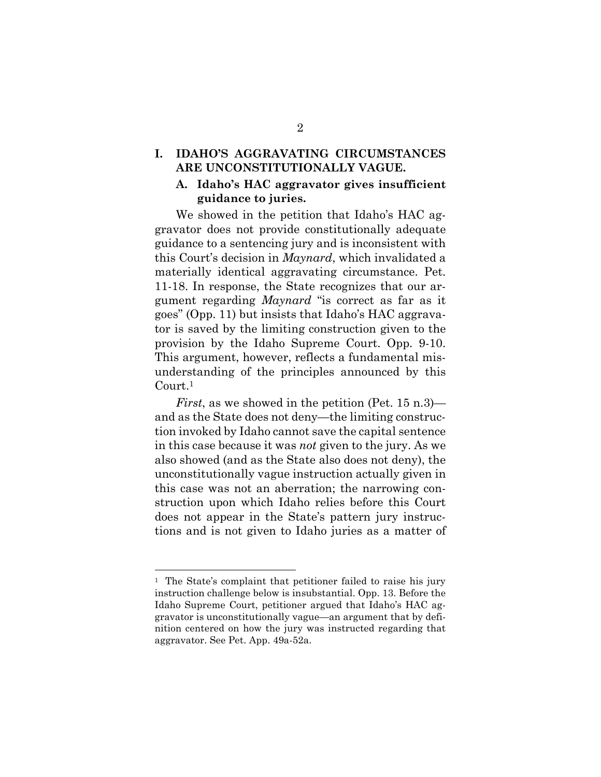### **I. IDAHO'S AGGRAVATING CIRCUMSTANCES ARE UNCONSTITUTIONALLY VAGUE.**

### **A. Idaho's HAC aggravator gives insufficient guidance to juries.**

We showed in the petition that Idaho's HAC aggravator does not provide constitutionally adequate guidance to a sentencing jury and is inconsistent with this Court's decision in *Maynard*, which invalidated a materially identical aggravating circumstance. Pet. 11-18. In response, the State recognizes that our argument regarding *Maynard* "is correct as far as it goes" (Opp. 11) but insists that Idaho's HAC aggravator is saved by the limiting construction given to the provision by the Idaho Supreme Court. Opp. 9-10. This argument, however, reflects a fundamental misunderstanding of the principles announced by this Court.<sup>1</sup>

*First*, as we showed in the petition (Pet. 15 n.3) and as the State does not deny—the limiting construction invoked by Idaho cannot save the capital sentence in this case because it was *not* given to the jury. As we also showed (and as the State also does not deny), the unconstitutionally vague instruction actually given in this case was not an aberration; the narrowing construction upon which Idaho relies before this Court does not appear in the State's pattern jury instructions and is not given to Idaho juries as a matter of

<sup>&</sup>lt;sup>1</sup> The State's complaint that petitioner failed to raise his jury instruction challenge below is insubstantial. Opp. 13. Before the Idaho Supreme Court, petitioner argued that Idaho's HAC aggravator is unconstitutionally vague—an argument that by definition centered on how the jury was instructed regarding that aggravator. See Pet. App. 49a-52a.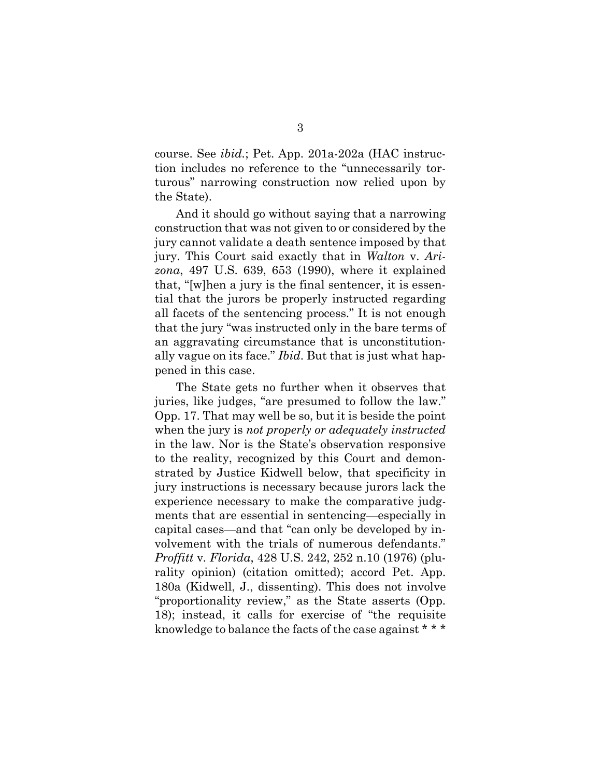course. See *ibid.*; Pet. App. 201a-202a (HAC instruction includes no reference to the "unnecessarily torturous" narrowing construction now relied upon by the State).

And it should go without saying that a narrowing construction that was not given to or considered by the jury cannot validate a death sentence imposed by that jury. This Court said exactly that in *Walton* v. *Arizona*, 497 U.S. 639, 653 (1990), where it explained that, "[w]hen a jury is the final sentencer, it is essential that the jurors be properly instructed regarding all facets of the sentencing process." It is not enough that the jury "was instructed only in the bare terms of an aggravating circumstance that is unconstitutionally vague on its face." *Ibid*. But that is just what happened in this case.

The State gets no further when it observes that juries, like judges, "are presumed to follow the law." Opp. 17. That may well be so, but it is beside the point when the jury is *not properly or adequately instructed*  in the law. Nor is the State's observation responsive to the reality, recognized by this Court and demonstrated by Justice Kidwell below, that specificity in jury instructions is necessary because jurors lack the experience necessary to make the comparative judgments that are essential in sentencing—especially in capital cases—and that "can only be developed by involvement with the trials of numerous defendants." *Proffitt* v*. Florida*, 428 U.S. 242, 252 n.10 (1976) (plurality opinion) (citation omitted); accord Pet. App. 180a (Kidwell, J., dissenting). This does not involve "proportionality review," as the State asserts (Opp. 18); instead, it calls for exercise of "the requisite knowledge to balance the facts of the case against \* \* \*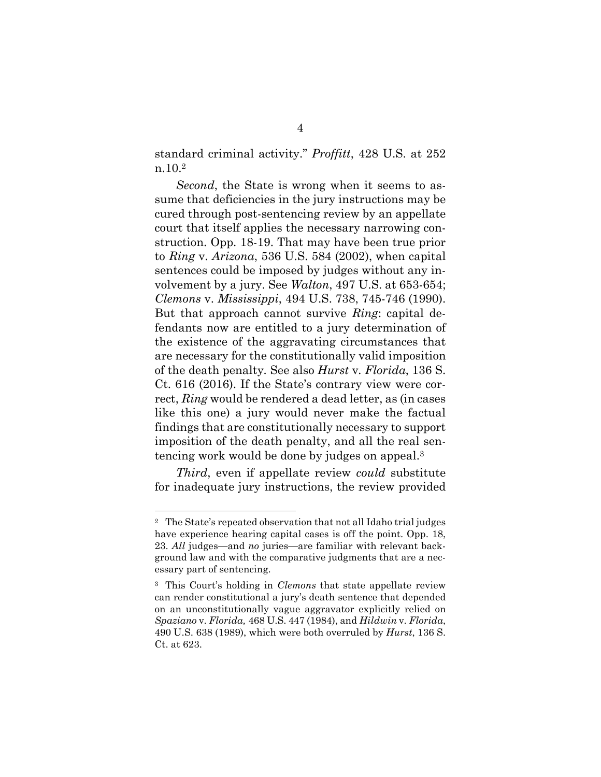standard criminal activity." *Proffitt*, 428 U.S. at 252 n.10.<sup>2</sup>

*Second*, the State is wrong when it seems to assume that deficiencies in the jury instructions may be cured through post-sentencing review by an appellate court that itself applies the necessary narrowing construction. Opp. 18-19. That may have been true prior to *Ring* v. *Arizona*, 536 U.S. 584 (2002), when capital sentences could be imposed by judges without any involvement by a jury. See *Walton*, 497 U.S. at 653-654; *Clemons* v. *Mississippi*, 494 U.S. 738, 745-746 (1990). But that approach cannot survive *Ring*: capital defendants now are entitled to a jury determination of the existence of the aggravating circumstances that are necessary for the constitutionally valid imposition of the death penalty*.* See also *Hurst* v*. Florida*, 136 S. Ct. 616 (2016). If the State's contrary view were correct, *Ring* would be rendered a dead letter, as (in cases like this one) a jury would never make the factual findings that are constitutionally necessary to support imposition of the death penalty, and all the real sentencing work would be done by judges on appeal.<sup>3</sup>

*Third*, even if appellate review *could* substitute for inadequate jury instructions, the review provided

<sup>2</sup> The State's repeated observation that not all Idaho trial judges have experience hearing capital cases is off the point. Opp. 18, 23. *All* judges—and *no* juries—are familiar with relevant background law and with the comparative judgments that are a necessary part of sentencing.

<sup>3</sup> This Court's holding in *Clemons* that state appellate review can render constitutional a jury's death sentence that depended on an unconstitutionally vague aggravator explicitly relied on *Spaziano* v*. Florida,* 468 U.S. 447 (1984), and *Hildwin* v*. Florida*, 490 U.S. 638 (1989), which were both overruled by *Hurst*, 136 S. Ct. at 623.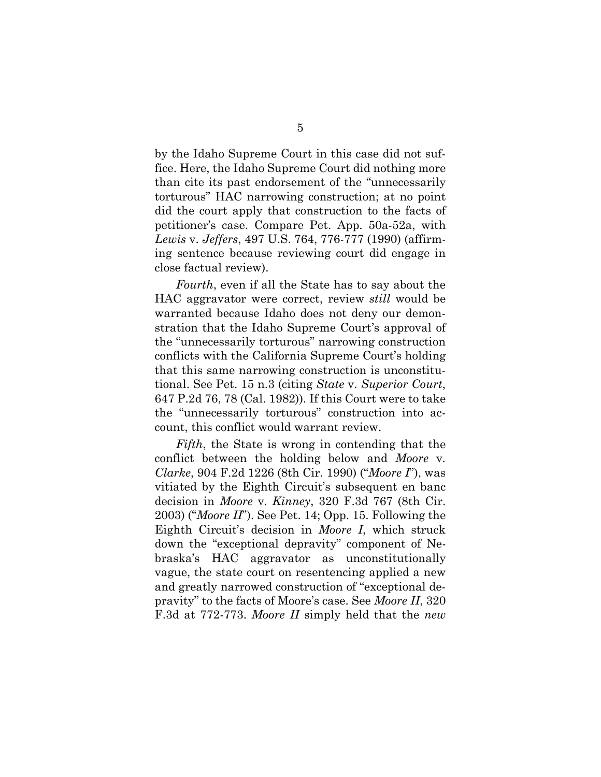by the Idaho Supreme Court in this case did not suffice. Here, the Idaho Supreme Court did nothing more than cite its past endorsement of the "unnecessarily torturous" HAC narrowing construction; at no point did the court apply that construction to the facts of petitioner's case. Compare Pet. App. 50a-52a, with *Lewis* v. *Jeffers*, 497 U.S. 764, 776-777 (1990) (affirming sentence because reviewing court did engage in close factual review).

*Fourth*, even if all the State has to say about the HAC aggravator were correct, review *still* would be warranted because Idaho does not deny our demonstration that the Idaho Supreme Court's approval of the "unnecessarily torturous" narrowing construction conflicts with the California Supreme Court's holding that this same narrowing construction is unconstitutional. See Pet. 15 n.3 (citing *State* v. *Superior Court*, 647 P.2d 76, 78 (Cal. 1982)). If this Court were to take the "unnecessarily torturous" construction into account, this conflict would warrant review.

*Fifth*, the State is wrong in contending that the conflict between the holding below and *Moore* v*. Clarke*, 904 F.2d 1226 (8th Cir. 1990) ("*Moore I*"), was vitiated by the Eighth Circuit's subsequent en banc decision in *Moore* v*. Kinney*, 320 F.3d 767 (8th Cir. 2003) ("*Moore II*"). See Pet. 14; Opp. 15. Following the Eighth Circuit's decision in *Moore I*, which struck down the "exceptional depravity" component of Nebraska's HAC aggravator as unconstitutionally vague, the state court on resentencing applied a new and greatly narrowed construction of "exceptional depravity" to the facts of Moore's case. See *Moore II*, 320 F.3d at 772-773. *Moore II* simply held that the *new*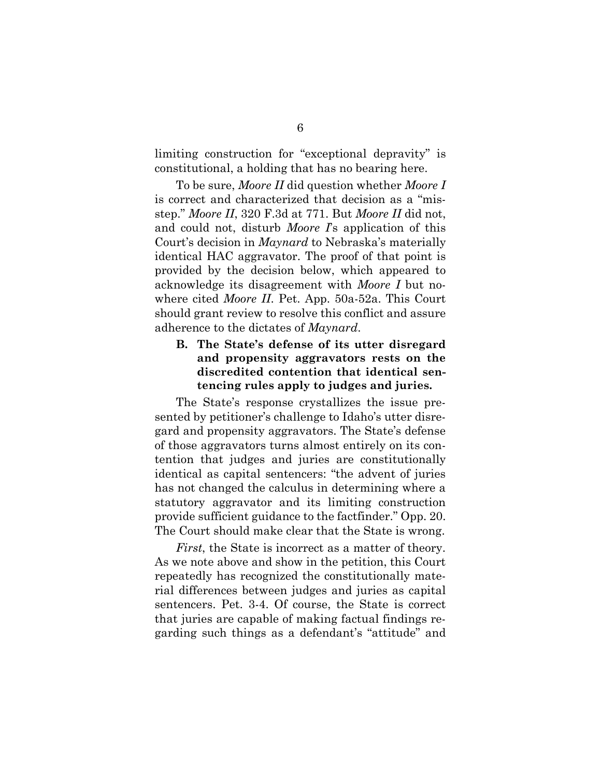limiting construction for "exceptional depravity" is constitutional, a holding that has no bearing here.

To be sure, *Moore II* did question whether *Moore I* is correct and characterized that decision as a "misstep." *Moore II*, 320 F.3d at 771. But *Moore II* did not, and could not, disturb *Moore I*'s application of this Court's decision in *Maynard* to Nebraska's materially identical HAC aggravator. The proof of that point is provided by the decision below, which appeared to acknowledge its disagreement with *Moore I* but nowhere cited *Moore II*. Pet. App. 50a-52a. This Court should grant review to resolve this conflict and assure adherence to the dictates of *Maynard*.

## **B. The State's defense of its utter disregard and propensity aggravators rests on the discredited contention that identical sentencing rules apply to judges and juries.**

The State's response crystallizes the issue presented by petitioner's challenge to Idaho's utter disregard and propensity aggravators. The State's defense of those aggravators turns almost entirely on its contention that judges and juries are constitutionally identical as capital sentencers: "the advent of juries has not changed the calculus in determining where a statutory aggravator and its limiting construction provide sufficient guidance to the factfinder." Opp. 20. The Court should make clear that the State is wrong.

*First*, the State is incorrect as a matter of theory. As we note above and show in the petition, this Court repeatedly has recognized the constitutionally material differences between judges and juries as capital sentencers. Pet. 3-4. Of course, the State is correct that juries are capable of making factual findings regarding such things as a defendant's "attitude" and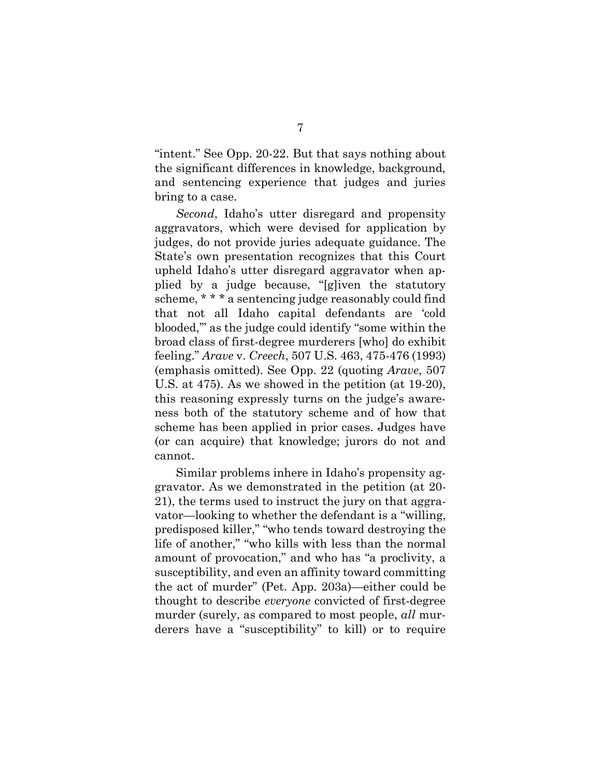"intent." See Opp. 20-22. But that says nothing about the significant differences in knowledge, background, and sentencing experience that judges and juries bring to a case.

*Second*, Idaho's utter disregard and propensity aggravators, which were devised for application by judges, do not provide juries adequate guidance. The State's own presentation recognizes that this Court upheld Idaho's utter disregard aggravator when applied by a judge because, "[g]iven the statutory scheme, \* \* \* a sentencing judge reasonably could find that not all Idaho capital defendants are 'cold blooded,'" as the judge could identify "some within the broad class of first-degree murderers [who] do exhibit feeling." *Arave* v. *Creech*, 507 U.S. 463, 475-476 (1993) (emphasis omitted). See Opp. 22 (quoting *Arave*, 507 U.S. at 475). As we showed in the petition (at 19-20), this reasoning expressly turns on the judge's awareness both of the statutory scheme and of how that scheme has been applied in prior cases. Judges have (or can acquire) that knowledge; jurors do not and cannot.

Similar problems inhere in Idaho's propensity aggravator. As we demonstrated in the petition (at 20- 21), the terms used to instruct the jury on that aggravator—looking to whether the defendant is a "willing, predisposed killer," "who tends toward destroying the life of another," "who kills with less than the normal amount of provocation," and who has "a proclivity, a susceptibility, and even an affinity toward committing the act of murder" (Pet. App. 203a)—either could be thought to describe *everyone* convicted of first-degree murder (surely, as compared to most people, *all* murderers have a "susceptibility" to kill) or to require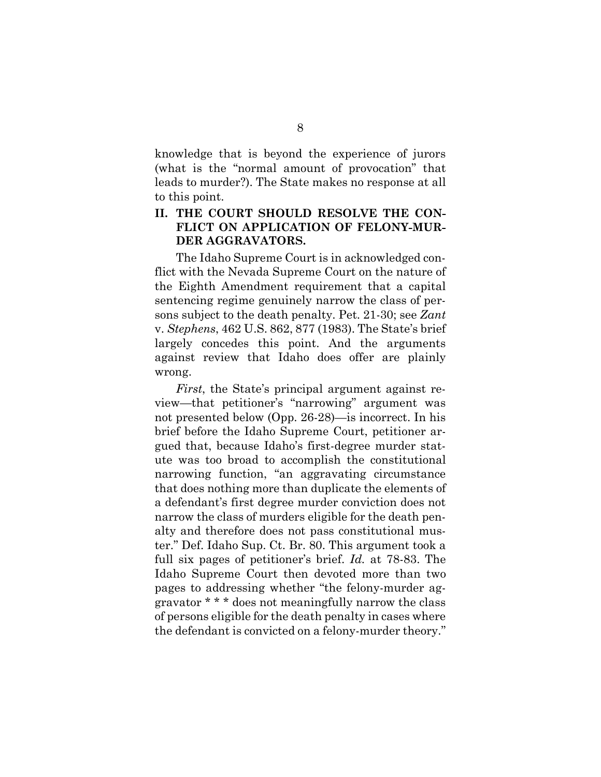knowledge that is beyond the experience of jurors (what is the "normal amount of provocation" that leads to murder?). The State makes no response at all to this point.

## **II. THE COURT SHOULD RESOLVE THE CON-FLICT ON APPLICATION OF FELONY-MUR-DER AGGRAVATORS.**

The Idaho Supreme Court is in acknowledged conflict with the Nevada Supreme Court on the nature of the Eighth Amendment requirement that a capital sentencing regime genuinely narrow the class of persons subject to the death penalty. Pet. 21-30; see *Zant* v. *Stephens*, 462 U.S. 862, 877 (1983). The State's brief largely concedes this point. And the arguments against review that Idaho does offer are plainly wrong.

*First*, the State's principal argument against review—that petitioner's "narrowing" argument was not presented below (Opp. 26-28)—is incorrect. In his brief before the Idaho Supreme Court, petitioner argued that, because Idaho's first-degree murder statute was too broad to accomplish the constitutional narrowing function, "an aggravating circumstance that does nothing more than duplicate the elements of a defendant's first degree murder conviction does not narrow the class of murders eligible for the death penalty and therefore does not pass constitutional muster." Def. Idaho Sup. Ct. Br. 80. This argument took a full six pages of petitioner's brief. *Id.* at 78-83. The Idaho Supreme Court then devoted more than two pages to addressing whether "the felony-murder aggravator \* \* \* does not meaningfully narrow the class of persons eligible for the death penalty in cases where the defendant is convicted on a felony-murder theory."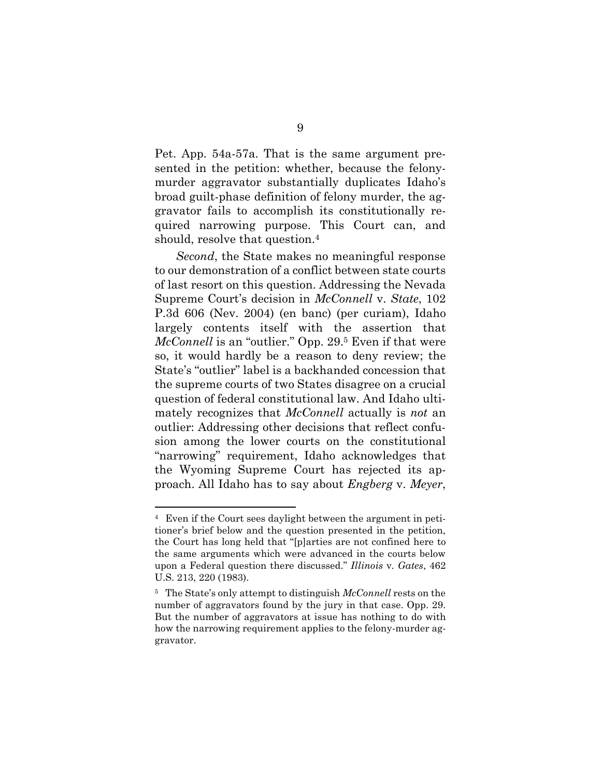Pet. App. 54a-57a. That is the same argument presented in the petition: whether, because the felonymurder aggravator substantially duplicates Idaho's broad guilt-phase definition of felony murder, the aggravator fails to accomplish its constitutionally required narrowing purpose. This Court can, and should, resolve that question.<sup>4</sup>

*Second*, the State makes no meaningful response to our demonstration of a conflict between state courts of last resort on this question. Addressing the Nevada Supreme Court's decision in *McConnell* v. *State*, 102 P.3d 606 (Nev. 2004) (en banc) (per curiam), Idaho largely contents itself with the assertion that *McConnell* is an "outlier." Opp. 29.5 Even if that were so, it would hardly be a reason to deny review; the State's "outlier" label is a backhanded concession that the supreme courts of two States disagree on a crucial question of federal constitutional law. And Idaho ultimately recognizes that *McConnell* actually is *not* an outlier: Addressing other decisions that reflect confusion among the lower courts on the constitutional "narrowing" requirement, Idaho acknowledges that the Wyoming Supreme Court has rejected its approach. All Idaho has to say about *Engberg* v. *Meyer*,

<sup>4</sup> Even if the Court sees daylight between the argument in petitioner's brief below and the question presented in the petition, the Court has long held that "[p]arties are not confined here to the same arguments which were advanced in the courts below upon a Federal question there discussed." *Illinois* v*. Gates*, 462 U.S. 213, 220 (1983).

<sup>5</sup> The State's only attempt to distinguish *McConnell* rests on the number of aggravators found by the jury in that case. Opp. 29. But the number of aggravators at issue has nothing to do with how the narrowing requirement applies to the felony-murder aggravator.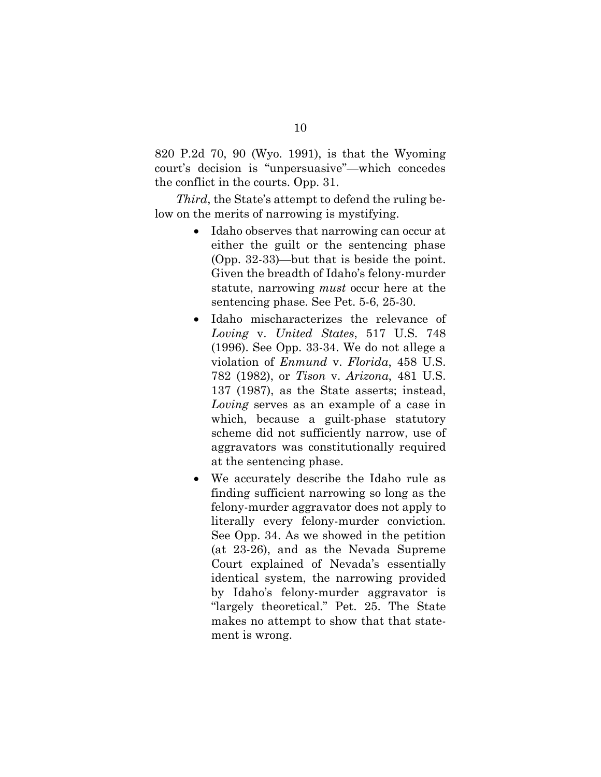820 P.2d 70, 90 (Wyo. 1991), is that the Wyoming court's decision is "unpersuasive"—which concedes the conflict in the courts. Opp. 31.

*Third*, the State's attempt to defend the ruling below on the merits of narrowing is mystifying.

- Idaho observes that narrowing can occur at either the guilt or the sentencing phase (Opp. 32-33)—but that is beside the point. Given the breadth of Idaho's felony-murder statute, narrowing *must* occur here at the sentencing phase. See Pet. 5-6, 25-30.
- Idaho mischaracterizes the relevance of *Loving* v. *United States*, 517 U.S. 748 (1996). See Opp. 33-34. We do not allege a violation of *Enmund* v. *Florida*, 458 U.S. 782 (1982), or *Tison* v. *Arizona*, 481 U.S. 137 (1987), as the State asserts; instead, *Loving* serves as an example of a case in which, because a guilt-phase statutory scheme did not sufficiently narrow, use of aggravators was constitutionally required at the sentencing phase.
- We accurately describe the Idaho rule as finding sufficient narrowing so long as the felony-murder aggravator does not apply to literally every felony-murder conviction. See Opp. 34. As we showed in the petition (at 23-26), and as the Nevada Supreme Court explained of Nevada's essentially identical system, the narrowing provided by Idaho's felony-murder aggravator is "largely theoretical." Pet. 25. The State makes no attempt to show that that statement is wrong.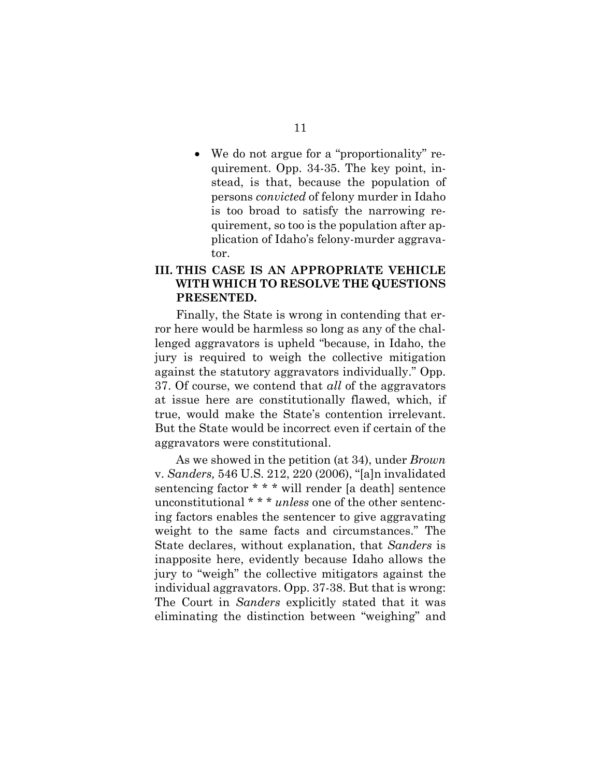We do not argue for a "proportionality" requirement. Opp. 34-35. The key point, instead, is that, because the population of persons *convicted* of felony murder in Idaho is too broad to satisfy the narrowing requirement, so too is the population after application of Idaho's felony-murder aggravator.

## **III. THIS CASE IS AN APPROPRIATE VEHICLE WITH WHICH TO RESOLVE THE QUESTIONS PRESENTED.**

Finally, the State is wrong in contending that error here would be harmless so long as any of the challenged aggravators is upheld "because, in Idaho, the jury is required to weigh the collective mitigation against the statutory aggravators individually." Opp. 37. Of course, we contend that *all* of the aggravators at issue here are constitutionally flawed, which, if true, would make the State's contention irrelevant. But the State would be incorrect even if certain of the aggravators were constitutional.

As we showed in the petition (at 34), under *Brown*  v. *Sanders,* 546 U.S. 212, 220 (2006), "[a]n invalidated sentencing factor \* \* \* will render [a death] sentence unconstitutional \* \* \* *unless* one of the other sentencing factors enables the sentencer to give aggravating weight to the same facts and circumstances." The State declares, without explanation, that *Sanders* is inapposite here, evidently because Idaho allows the jury to "weigh" the collective mitigators against the individual aggravators. Opp. 37-38. But that is wrong: The Court in *Sanders* explicitly stated that it was eliminating the distinction between "weighing" and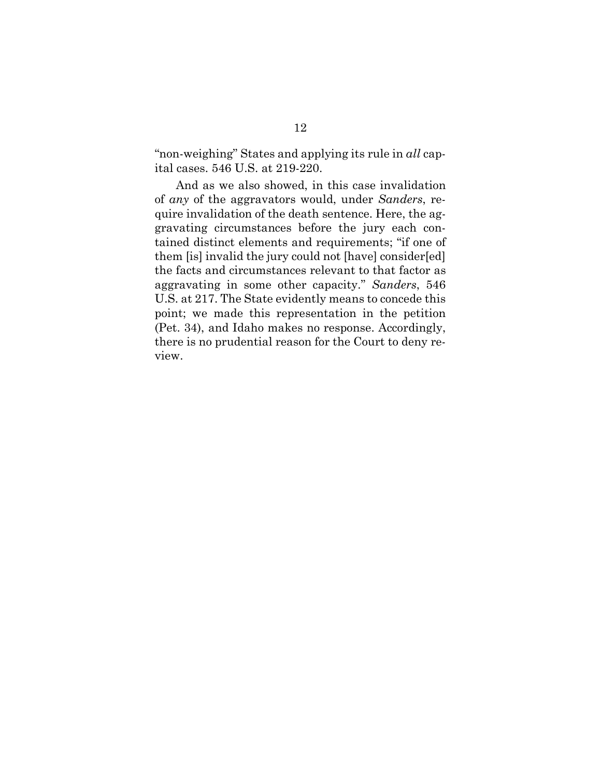"non-weighing" States and applying its rule in *all* capital cases. 546 U.S. at 219-220.

And as we also showed, in this case invalidation of *any* of the aggravators would, under *Sanders*, require invalidation of the death sentence. Here, the aggravating circumstances before the jury each contained distinct elements and requirements; "if one of them [is] invalid the jury could not [have] consider[ed] the facts and circumstances relevant to that factor as aggravating in some other capacity." *Sanders*, 546 U.S. at 217. The State evidently means to concede this point; we made this representation in the petition (Pet. 34), and Idaho makes no response. Accordingly, there is no prudential reason for the Court to deny review.